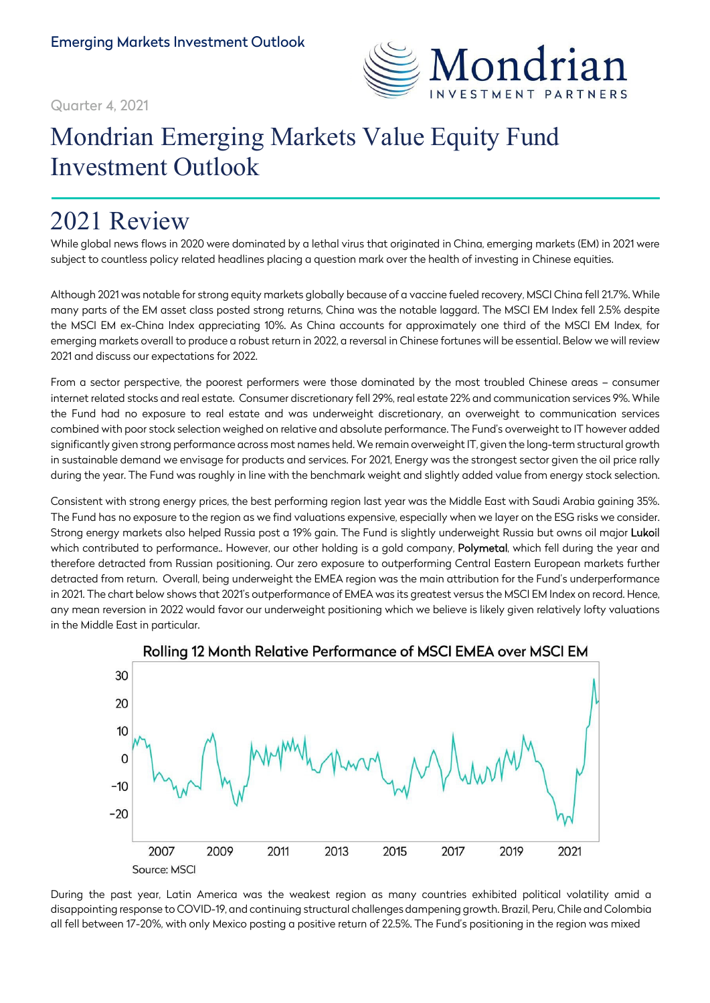

### Quarter 4, 2021

# Mondrian Emerging Markets Value Equity Fund Investment Outlook

## 2021 Review

While global news flows in 2020 were dominated by a lethal virus that originated in China, emerging markets (EM) in 2021 were subject to countless policy related headlines placing a question mark over the health of investing in Chinese equities.

Although 2021 was notable for strong equity markets globally because of a vaccine fueled recovery, MSCI China fell 21.7%. While many parts of the EM asset class posted strong returns, China was the notable laggard. The MSCI EM Index fell 2.5% despite the MSCI EM ex-China Index appreciating 10%. As China accounts for approximately one third of the MSCI EM Index, for emerging markets overall to produce a robust return in 2022, a reversal in Chinese fortunes will be essential. Below we will review 2021 and discuss our expectations for 2022.

From a sector perspective, the poorest performers were those dominated by the most troubled Chinese areas – consumer internet related stocks and real estate. Consumer discretionary fell 29%, real estate 22% and communication services 9%. While the Fund had no exposure to real estate and was underweight discretionary, an overweight to communication services combined with poor stock selection weighed on relative and absolute performance. The Fund's overweight to IT however added significantly given strong performance across most names held. We remain overweight IT, given the long-term structural growth in sustainable demand we envisage for products and services. For 2021, Energy was the strongest sector given the oil price rally during the year. The Fund was roughly in line with the benchmark weight and slightly added value from energy stock selection.

Consistent with strong energy prices, the best performing region last year was the Middle East with Saudi Arabia gaining 35%. The Fund has no exposure to the region as we find valuations expensive, especially when we layer on the ESG risks we consider. Strong energy markets also helped Russia post a 19% gain. The Fund is slightly underweight Russia but owns oil major Lukoil which contributed to performance.. However, our other holding is a gold company, Polymetal, which fell during the year and therefore detracted from Russian positioning. Our zero exposure to outperforming Central Eastern European markets further detracted from return. Overall, being underweight the EMEA region was the main attribution for the Fund's underperformance in 2021. The chart below shows that 2021's outperformance of EMEA was its greatest versus the MSCI EM Index on record. Hence, any mean reversion in 2022 would favor our underweight positioning which we believe is likely given relatively lofty valuations in the Middle East in particular.



#### Rolling 12 Month Relative Performance of MSCI EMEA over MSCI EM

During the past year, Latin America was the weakest region as many countries exhibited political volatility amid a disappointing response to COVID-19, and continuing structural challenges dampening growth. Brazil, Peru, Chile and Colombia all fell between 17-20%, with only Mexico posting a positive return of 22.5%. The Fund's positioning in the region was mixed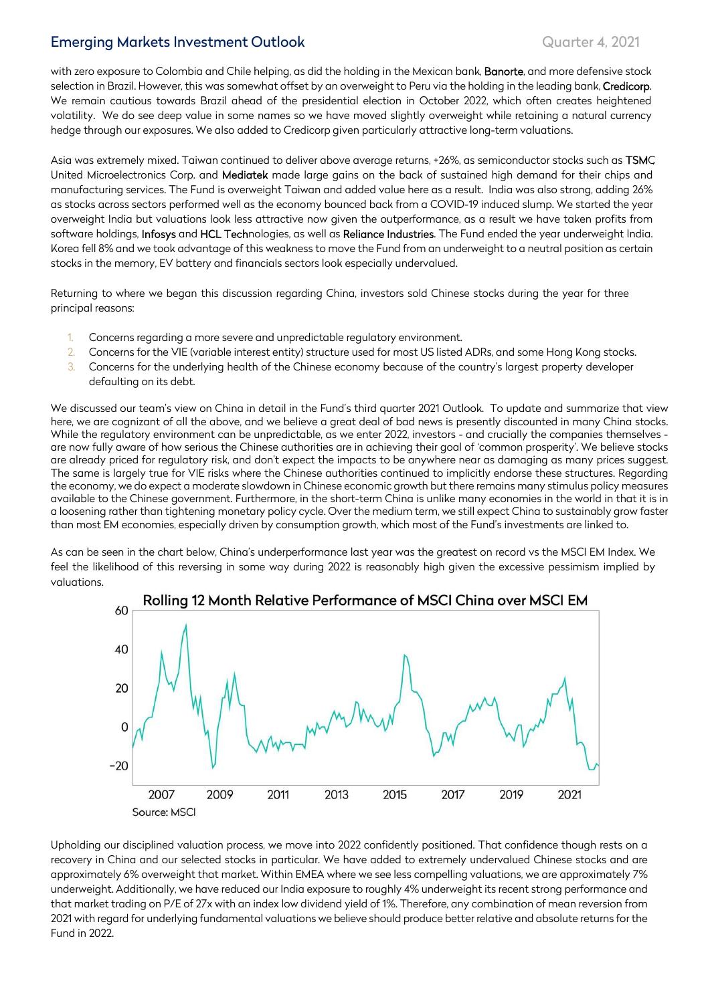## Emerging Markets Investment Outlook **Emerging Markets Investment Outlook** Quarter 4, 2021

with zero exposure to Colombia and Chile helping, as did the holding in the Mexican bank, Banorte, and more defensive stock selection in Brazil. However, this was somewhat offset by an overweight to Peru via the holding in the leading bank, Credicorp. We remain cautious towards Brazil ahead of the presidential election in October 2022, which often creates heightened volatility. We do see deep value in some names so we have moved slightly overweight while retaining a natural currency hedge through our exposures. We also added to Credicorp given particularly attractive long-term valuations.

Asia was extremely mixed. Taiwan continued to deliver above average returns, +26%, as semiconductor stocks such as TSMC United Microelectronics Corp. and Mediatek made large gains on the back of sustained high demand for their chips and manufacturing services. The Fund is overweight Taiwan and added value here as a result. India was also strong, adding 26% as stocks across sectors performed well as the economy bounced back from a COVID-19 induced slump. We started the year overweight India but valuations look less attractive now given the outperformance, as a result we have taken profits from software holdings, Infosys and HCL Technologies, as well as Reliance Industries. The Fund ended the year underweight India. Korea fell 8% and we took advantage of this weakness to move the Fund from an underweight to a neutral position as certain stocks in the memory, EV battery and financials sectors look especially undervalued.

Returning to where we began this discussion regarding China, investors sold Chinese stocks during the year for three principal reasons:

- 1. Concerns regarding a more severe and unpredictable regulatory environment.
- 2. Concerns for the VIE (variable interest entity) structure used for most US listed ADRs, and some Hong Kong stocks.
- 3. Concerns for the underlying health of the Chinese economy because of the country's largest property developer defaulting on its debt.

We discussed our team's view on China in detail in the Fund's third quarter 2021 Outlook. To update and summarize that view here, we are cognizant of all the above, and we believe a great deal of bad news is presently discounted in many China stocks. While the regulatory environment can be unpredictable, as we enter 2022, investors - and crucially the companies themselves are now fully aware of how serious the Chinese authorities are in achieving their goal of 'common prosperity'. We believe stocks are already priced for regulatory risk, and don't expect the impacts to be anywhere near as damaging as many prices suggest. The same is largely true for VIE risks where the Chinese authorities continued to implicitly endorse these structures. Regarding the economy, we do expect a moderate slowdown in Chinese economic growth but there remains many stimulus policy measures available to the Chinese government. Furthermore, in the short-term China is unlike many economies in the world in that it is in a loosening rather than tightening monetary policy cycle. Over the medium term, we still expect China to sustainably grow faster than most EM economies, especially driven by consumption growth, which most of the Fund's investments are linked to.

As can be seen in the chart below, China's underperformance last year was the greatest on record vs the MSCI EM Index. We feel the likelihood of this reversing in some way during 2022 is reasonably high given the excessive pessimism implied by valuations.



Upholding our disciplined valuation process, we move into 2022 confidently positioned. That confidence though rests on a recovery in China and our selected stocks in particular. We have added to extremely undervalued Chinese stocks and are approximately 6% overweight that market. Within EMEA where we see less compelling valuations, we are approximately 7% underweight. Additionally, we have reduced our India exposure to roughly 4% underweight its recent strong performance and that market trading on P/E of 27x with an index low dividend yield of 1%. Therefore, any combination of mean reversion from 2021 with regard for underlying fundamental valuations we believe should produce better relative and absolute returns for the Fund in 2022.